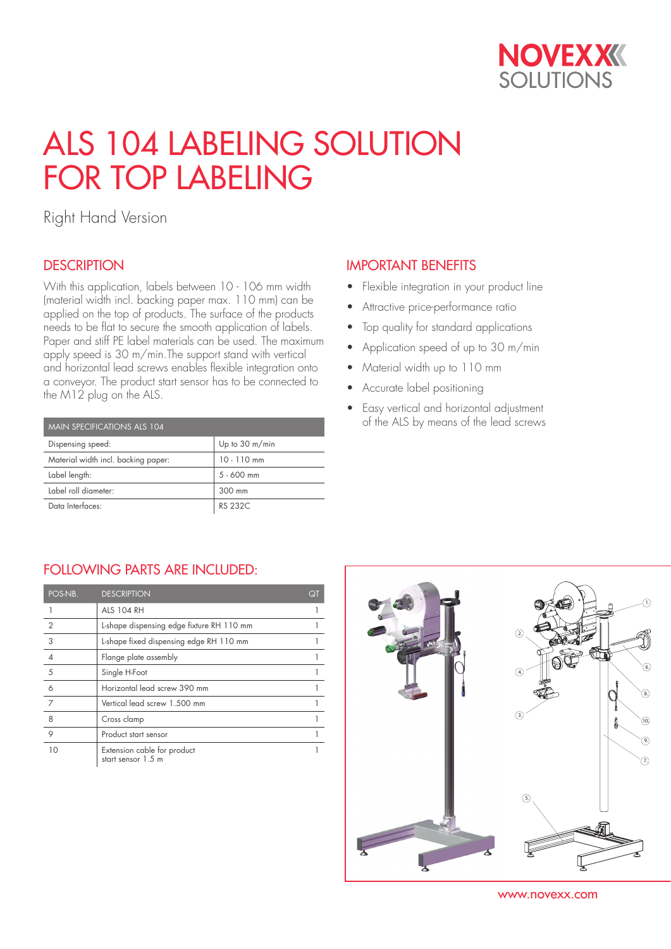

# ALS 104 LABELING SOLUTION FOR TOP LABELING

Right Hand Version

### **DESCRIPTION**

With this application, labels between 10 - 106 mm width (material width incl. backing paper max. 110 mm) can be applied on the top of products. The surface of the products needs to be flat to secure the smooth application of labels. Paper and stiff PE label materials can be used. The maximum apply speed is 30 m/min.The support stand with vertical and horizontal lead screws enables flexible integration onto a conveyor. The product start sensor has to be connected to the M12 plug on the ALS.

| MAIN SPECIFICATIONS ALS 104         |                          |  |  |  |
|-------------------------------------|--------------------------|--|--|--|
| Dispensing speed:                   | Up to $30 \text{ m/min}$ |  |  |  |
| Material width incl. backing paper: | $10 - 110$ mm            |  |  |  |
| Label length:                       | $5 - 600$ mm             |  |  |  |
| Label roll diameter:                | 300 mm                   |  |  |  |
| Data Interfaces:                    | RS 232C                  |  |  |  |

#### IMPORTANT BENEFITS

- Flexible integration in your product line
- Attractive price-performance ratio
- Top quality for standard applications
- Application speed of up to 30 m/min
- Material width up to 110 mm
- Accurate label positioning
- Easy vertical and horizontal adjustment of the ALS by means of the lead screws

### FOLLOWING PARTS ARE INCLUDED:

| POS-NB.        | <b>DESCRIPTION</b>                                | QT |
|----------------|---------------------------------------------------|----|
|                | <b>ALS 104 RH</b>                                 |    |
| $\overline{2}$ | L-shape dispensing edge fixture RH 110 mm         |    |
| 3              | L-shape fixed dispensing edge RH 110 mm           |    |
| $\overline{4}$ | Flange plate assembly                             |    |
| 5              | Single H-Foot                                     |    |
| 6              | Horizontal lead screw 390 mm                      |    |
| 7              | Vertical lead screw 1.500 mm                      |    |
| 8              | Cross clamp                                       |    |
| 9              | Product start sensor                              |    |
| 10             | Extension cable for product<br>start sensor 1.5 m |    |



www.novexx.com